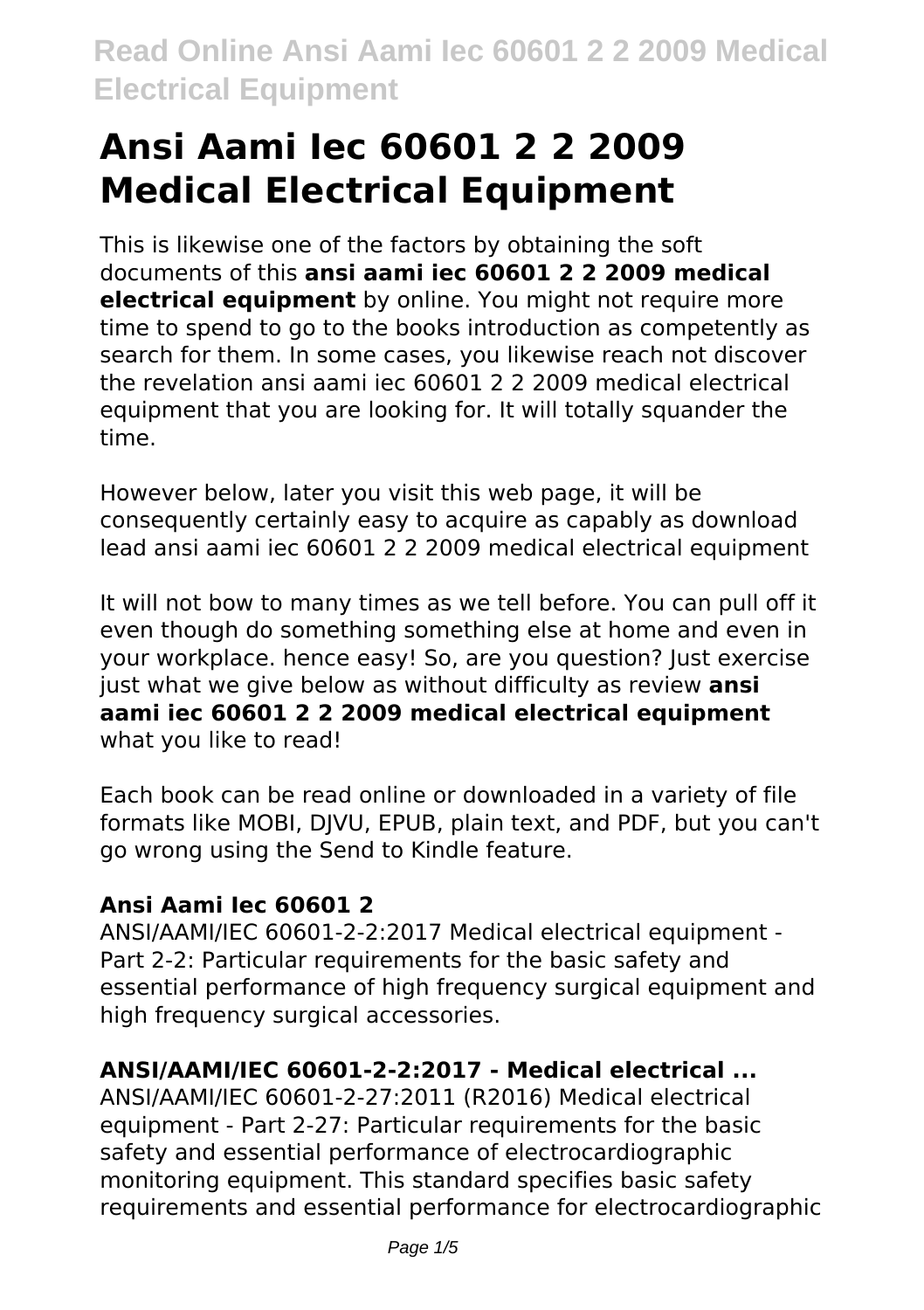# **Ansi Aami Iec 60601 2 2 2009 Medical Electrical Equipment**

This is likewise one of the factors by obtaining the soft documents of this **ansi aami iec 60601 2 2 2009 medical electrical equipment** by online. You might not require more time to spend to go to the books introduction as competently as search for them. In some cases, you likewise reach not discover the revelation ansi aami iec 60601 2 2 2009 medical electrical equipment that you are looking for. It will totally squander the time.

However below, later you visit this web page, it will be consequently certainly easy to acquire as capably as download lead ansi aami iec 60601 2 2 2009 medical electrical equipment

It will not bow to many times as we tell before. You can pull off it even though do something something else at home and even in your workplace. hence easy! So, are you question? Just exercise just what we give below as without difficulty as review **ansi aami iec 60601 2 2 2009 medical electrical equipment** what you like to read!

Each book can be read online or downloaded in a variety of file formats like MOBI, DJVU, EPUB, plain text, and PDF, but you can't go wrong using the Send to Kindle feature.

# **Ansi Aami Iec 60601 2**

ANSI/AAMI/IEC 60601-2-2:2017 Medical electrical equipment - Part 2-2: Particular requirements for the basic safety and essential performance of high frequency surgical equipment and high frequency surgical accessories.

# **ANSI/AAMI/IEC 60601-2-2:2017 - Medical electrical ...**

ANSI/AAMI/IEC 60601-2-27:2011 (R2016) Medical electrical equipment - Part 2-27: Particular requirements for the basic safety and essential performance of electrocardiographic monitoring equipment. This standard specifies basic safety requirements and essential performance for electrocardiographic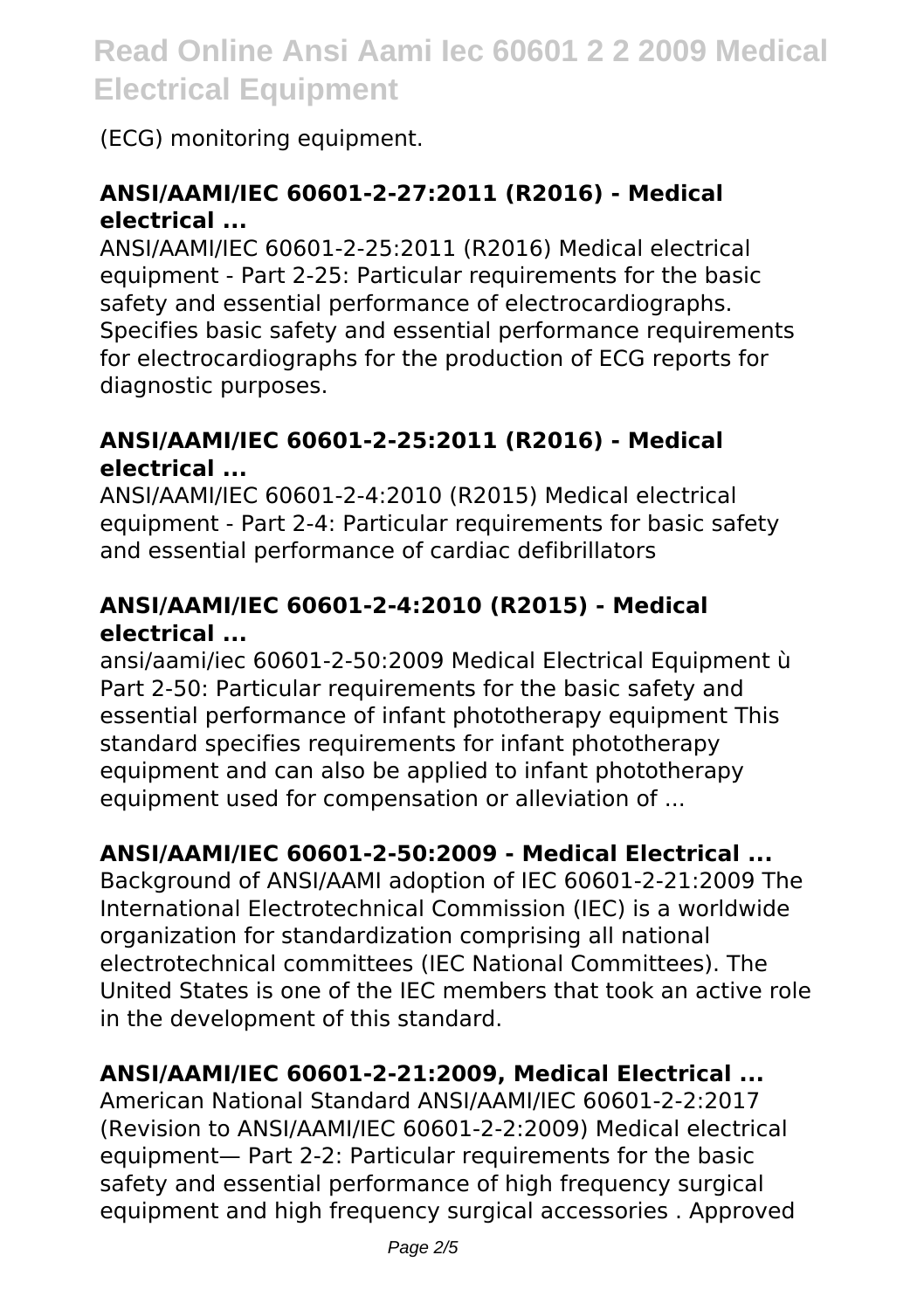# (ECG) monitoring equipment.

# **ANSI/AAMI/IEC 60601-2-27:2011 (R2016) - Medical electrical ...**

ANSI/AAMI/IEC 60601-2-25:2011 (R2016) Medical electrical equipment - Part 2-25: Particular requirements for the basic safety and essential performance of electrocardiographs. Specifies basic safety and essential performance requirements for electrocardiographs for the production of ECG reports for diagnostic purposes.

#### **ANSI/AAMI/IEC 60601-2-25:2011 (R2016) - Medical electrical ...**

ANSI/AAMI/IEC 60601-2-4:2010 (R2015) Medical electrical equipment - Part 2-4: Particular requirements for basic safety and essential performance of cardiac defibrillators

# **ANSI/AAMI/IEC 60601-2-4:2010 (R2015) - Medical electrical ...**

ansi/aami/iec 60601-2-50:2009 Medical Electrical Equipment ù Part 2-50: Particular requirements for the basic safety and essential performance of infant phototherapy equipment This standard specifies requirements for infant phototherapy equipment and can also be applied to infant phototherapy equipment used for compensation or alleviation of ...

# **ANSI/AAMI/IEC 60601-2-50:2009 - Medical Electrical ...**

Background of ANSI/AAMI adoption of IEC 60601-2-21:2009 The International Electrotechnical Commission (IEC) is a worldwide organization for standardization comprising all national electrotechnical committees (IEC National Committees). The United States is one of the IEC members that took an active role in the development of this standard.

# **ANSI/AAMI/IEC 60601-2-21:2009, Medical Electrical ...**

American National Standard ANSI/AAMI/IEC 60601-2-2:2017 (Revision to ANSI/AAMI/IEC 60601-2-2:2009) Medical electrical equipment— Part 2-2: Particular requirements for the basic safety and essential performance of high frequency surgical equipment and high frequency surgical accessories . Approved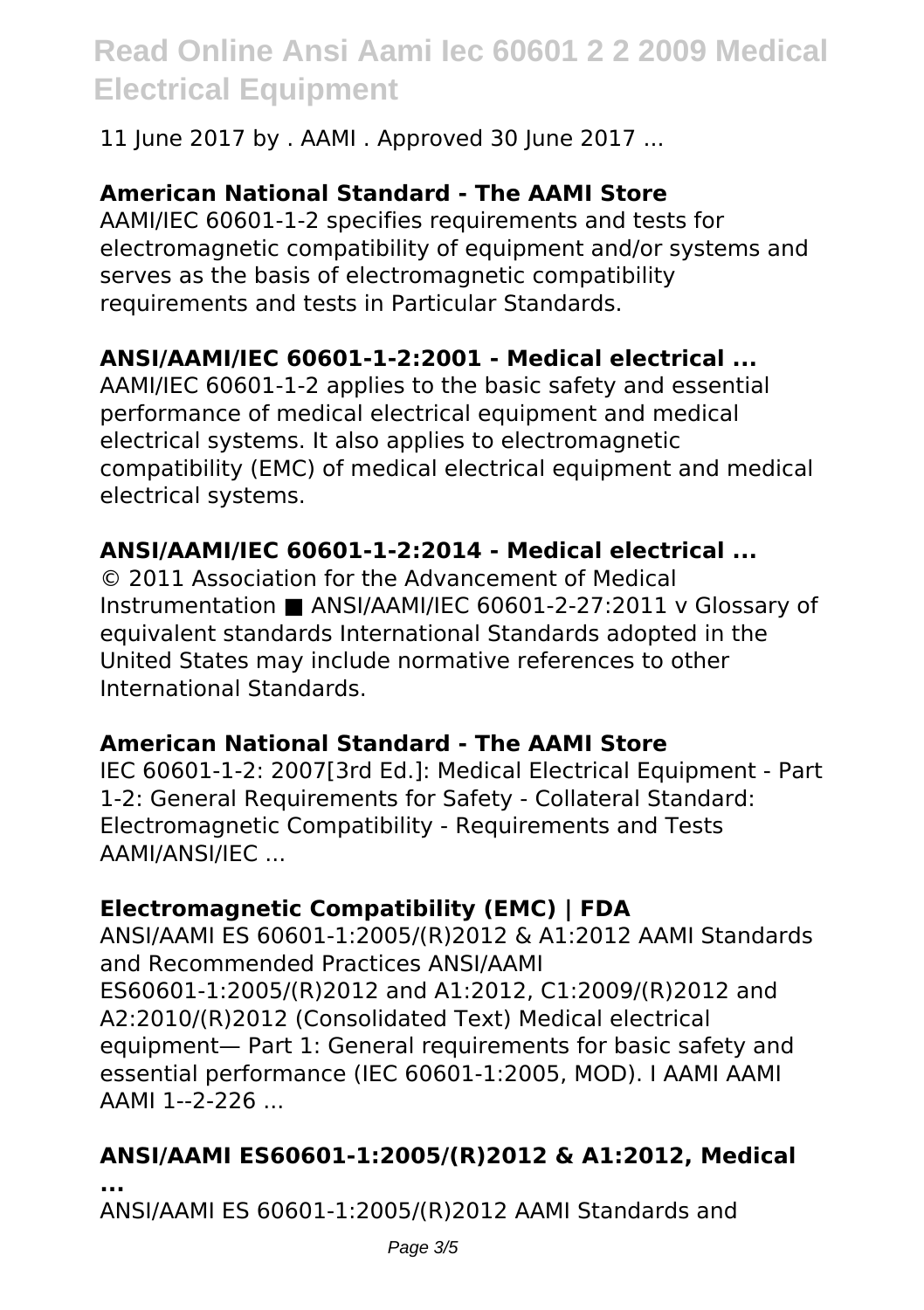11 June 2017 by . AAMI . Approved 30 June 2017 ...

# **American National Standard - The AAMI Store**

AAMI/IEC 60601-1-2 specifies requirements and tests for electromagnetic compatibility of equipment and/or systems and serves as the basis of electromagnetic compatibility requirements and tests in Particular Standards.

### **ANSI/AAMI/IEC 60601-1-2:2001 - Medical electrical ...**

AAMI/IEC 60601-1-2 applies to the basic safety and essential performance of medical electrical equipment and medical electrical systems. It also applies to electromagnetic compatibility (EMC) of medical electrical equipment and medical electrical systems.

#### **ANSI/AAMI/IEC 60601-1-2:2014 - Medical electrical ...**

© 2011 Association for the Advancement of Medical Instrumentation ■ ANSI/AAMI/IEC 60601-2-27:2011 v Glossary of equivalent standards International Standards adopted in the United States may include normative references to other International Standards.

#### **American National Standard - The AAMI Store**

IEC 60601-1-2: 2007[3rd Ed.]: Medical Electrical Equipment - Part 1-2: General Requirements for Safety - Collateral Standard: Electromagnetic Compatibility - Requirements and Tests AAMI/ANSI/IEC ...

# **Electromagnetic Compatibility (EMC) | FDA**

ANSI/AAMI ES 60601-1:2005/(R)2012 & A1:2012 AAMI Standards and Recommended Practices ANSI/AAMI ES60601-1:2005/(R)2012 and A1:2012, C1:2009/(R)2012 and A2:2010/(R)2012 (Consolidated Text) Medical electrical equipment— Part 1: General requirements for basic safety and essential performance (IEC 60601-1:2005, MOD). I AAMI AAMI AAMI 1--2-226 ...

# **ANSI/AAMI ES60601-1:2005/(R)2012 & A1:2012, Medical**

**...**

ANSI/AAMI ES 60601-1:2005/(R)2012 AAMI Standards and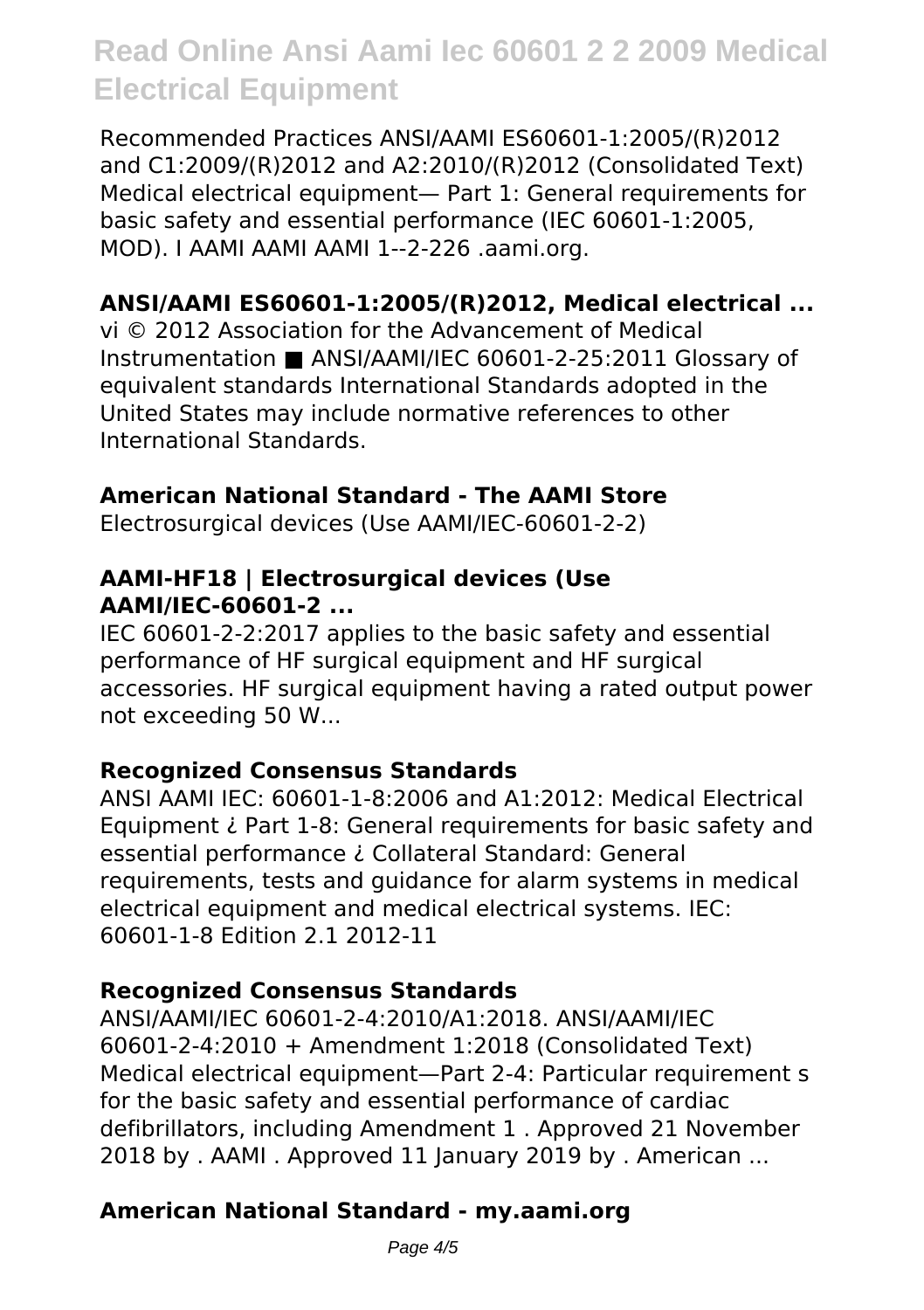Recommended Practices ANSI/AAMI ES60601-1:2005/(R)2012 and C1:2009/(R)2012 and A2:2010/(R)2012 (Consolidated Text) Medical electrical equipment— Part 1: General requirements for basic safety and essential performance (IEC 60601-1:2005, MOD). I AAMI AAMI AAMI 1--2-226 .aami.org.

# **ANSI/AAMI ES60601-1:2005/(R)2012, Medical electrical ...**

vi © 2012 Association for the Advancement of Medical Instrumentation ■ ANSI/AAMI/IEC 60601-2-25:2011 Glossary of equivalent standards International Standards adopted in the United States may include normative references to other International Standards.

### **American National Standard - The AAMI Store**

Electrosurgical devices (Use AAMI/IEC-60601-2-2)

#### **AAMI-HF18 | Electrosurgical devices (Use AAMI/IEC-60601-2 ...**

IEC 60601-2-2:2017 applies to the basic safety and essential performance of HF surgical equipment and HF surgical accessories. HF surgical equipment having a rated output power not exceeding 50 W...

#### **Recognized Consensus Standards**

ANSI AAMI IEC: 60601-1-8:2006 and A1:2012: Medical Electrical Equipment ¿ Part 1-8: General requirements for basic safety and essential performance ¿ Collateral Standard: General requirements, tests and guidance for alarm systems in medical electrical equipment and medical electrical systems. IEC: 60601-1-8 Edition 2.1 2012-11

#### **Recognized Consensus Standards**

ANSI/AAMI/IEC 60601-2-4:2010/A1:2018. ANSI/AAMI/IEC 60601-2-4:2010 + Amendment 1:2018 (Consolidated Text) Medical electrical equipment—Part 2-4: Particular requirement s for the basic safety and essential performance of cardiac defibrillators, including Amendment 1 . Approved 21 November 2018 by . AAMI . Approved 11 January 2019 by . American ...

# **American National Standard - my.aami.org**